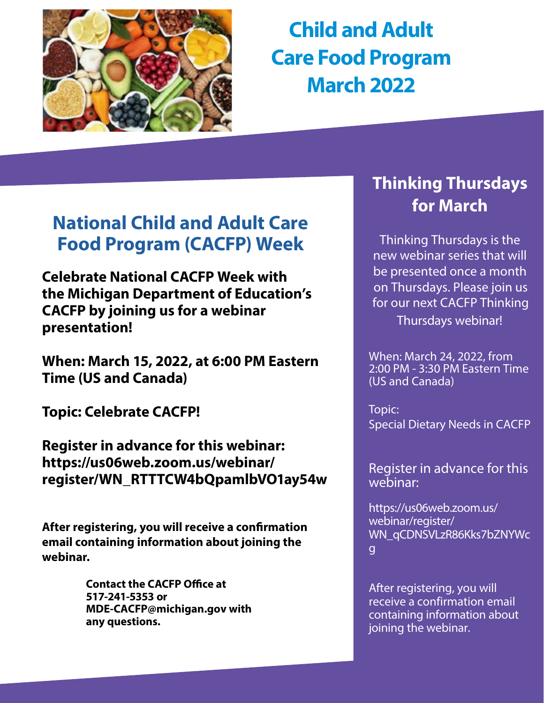

**Child and Adult Care Food Program March 2022**

# **[National Child and Adult Care](https://www.cacfp.org/national-cacfp-week-main/)  [Food Program \(CACFP\) Week](https://www.cacfp.org/national-cacfp-week-main/)**

**Celebrate National CACFP Week with the Michigan Department of Education's CACFP by joining us for a webinar presentation!**

**When: March 15, 2022, at 6:00 PM Eastern Time (US and Canada)** 

**Topic: Celebrate CACFP!**

**Register in advance for this webinar: https://us06web.zoom.us/webinar/ register/WN\_RTTTCW4bQpamlbVO1ay54w**

**After registering, you will receive a confirmation email containing information about joining the webinar.**

> **Contact the CACFP Office at 517-241-5353 or MDE-CACFP@michigan.gov with any questions.**

# **Thinking Thursdays for March**

Thinking Thursdays is the new webinar series that will be presented once a month on Thursdays. Please join us for our next CACFP Thinking Thursdays webinar!

When: March 24, 2022, from 2:00 PM - 3:30 PM Eastern Time (US and Canada)

Topic: Special Dietary Needs in CACFP

Register in advance for this webinar:

https://us06web.zoom.us/ webinar/register/ [WN\\_qCDNSVLzR86Kks7bZNYWc](https://gcc02.safelinks.protection.outlook.com/?url=https%3A%2F%2Fus06web.zoom.us%2Fwebinar%2Fregister%2FWN_qCDNSVLzR86Kks7bZNYWcg&data=04%7C01%7CGalbaviT%40michigan.gov%7Cb151d3d709854e7c67b808d9fc70cd4a%7Cd5fb7087377742ad966a892ef47225d1%7C0%7C0%7C637818383674335915%7CUnknown%7CTWFpbGZsb3d8eyJWIjoiMC4wLjAwMDAiLCJQIjoiV2luMzIiLCJBTiI6Ik1haWwiLCJXVCI6Mn0%3D%7C3000&sdata=D4PszbSWZxDzIE2WII9yxrqOWBL85sM71G5Kgvfc3qk%3D&reserved=0) g

After registering, you will receive a confirmation email containing information about joining the webinar.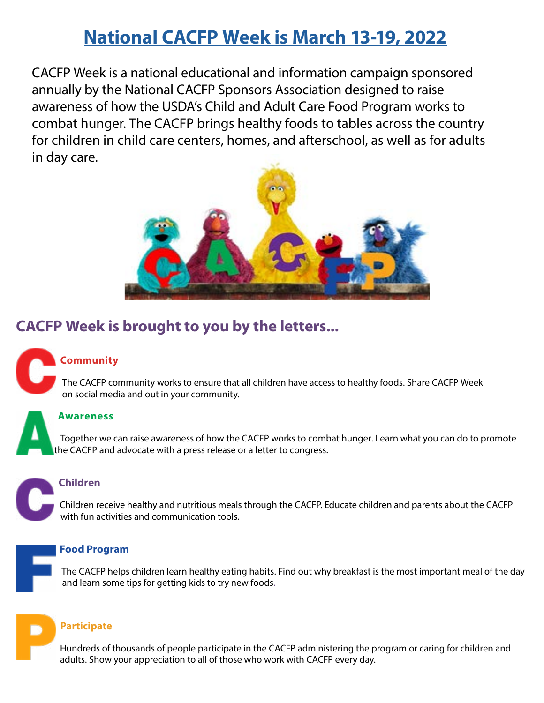# **[National CACFP Week is March 13-19, 2022](https://www.cacfp.org/national-cacfp-week-main/)**

CACFP Week is a national educational and information campaign sponsored annually by the National CACFP Sponsors Association designed to raise awareness of how the USDA's Child and Adult Care Food Program works to combat hunger. The CACFP brings healthy foods to tables across the country for children in child care centers, homes, and afterschool, as well as for adults in day care.



# **CACFP Week is brought to you by the letters...**

## **Community**

 The CACFP community works to ensure that all children have access to healthy foods. Share CACFP Week on social media and out in your community.

#### **Awareness**

 Together we can raise awareness of how the CACFP works to combat hunger. Learn what you can do to promote the CACFP and advocate with a press release or a letter to congress.

#### **Children**

Children receive healthy and nutritious meals through the CACFP. Educate children and parents about the CACFP with fun activities and communication tools.

#### **Food Program**

 The CACFP helps children learn healthy eating habits. Find out why breakfast is the most important meal of the day and learn some tips for getting kids to try new foods.

#### **Participate**

 Hundreds of thousands of people participate in the CACFP administering the program or caring for children and adults. Show your appreciation to all of those who work with CACFP every day.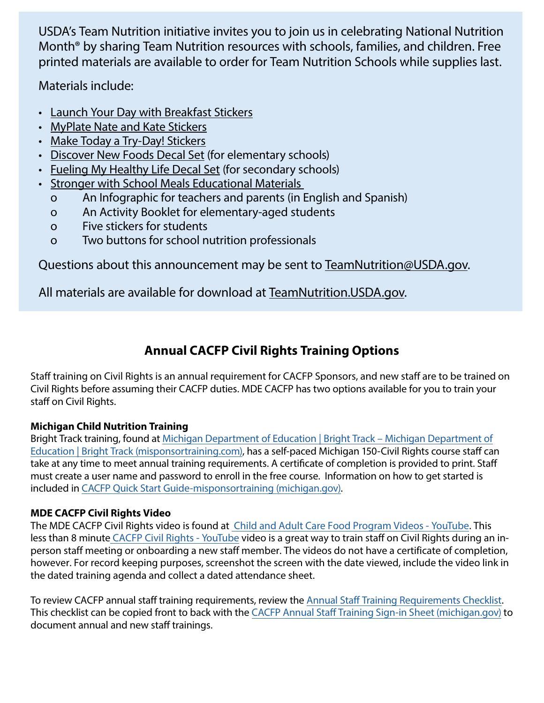USDA's Team Nutrition initiative invites you to join us in celebrating National Nutrition Month® by sharing Team Nutrition resources with schools, families, and children. Free printed materials are available to order for Team Nutrition Schools while supplies last.

Materials include:

- [Launch Your Day with Breakfast Stickers](https://gcc02.safelinks.protection.outlook.com/?url=https%3A%2F%2Fwww.fns.usda.gov%2Ftn%2Flaunch-your-day-breakfast-stickers&data=04%7C01%7CGalbaviT%40michigan.gov%7Cddee6ccc023f45be365c08d9efe1f137%7Cd5fb7087377742ad966a892ef47225d1%7C0%7C0%7C637804575956377296%7CUnknown%7CTWFpbGZsb3d8eyJWIjoiMC4wLjAwMDAiLCJQIjoiV2luMzIiLCJBTiI6Ik1haWwiLCJXVCI6Mn0%3D%7C3000&sdata=TR%2BLIyHzdNvFGQovk1PTfJ78INzzXLOGh91sUgswlM0%3D&reserved=0)
- [MyPlate Nate and Kate Stickers](https://gcc02.safelinks.protection.outlook.com/?url=https%3A%2F%2Fwww.fns.usda.gov%2Ftn%2Fmyplate-nate-and-kate-stickers&data=04%7C01%7CGalbaviT%40michigan.gov%7Cddee6ccc023f45be365c08d9efe1f137%7Cd5fb7087377742ad966a892ef47225d1%7C0%7C0%7C637804575956377296%7CUnknown%7CTWFpbGZsb3d8eyJWIjoiMC4wLjAwMDAiLCJQIjoiV2luMzIiLCJBTiI6Ik1haWwiLCJXVCI6Mn0%3D%7C3000&sdata=azlPBn40HGqqPzum7U4xmL7B6B0tlKm6T580od0VMyk%3D&reserved=0)
- [Make Today a Try-Day! Stickers](https://gcc02.safelinks.protection.outlook.com/?url=https%3A%2F%2Fwww.fns.usda.gov%2Ftn%2Fmake-today-try-day-stickers&data=04%7C01%7CGalbaviT%40michigan.gov%7Cddee6ccc023f45be365c08d9efe1f137%7Cd5fb7087377742ad966a892ef47225d1%7C0%7C0%7C637804575956377296%7CUnknown%7CTWFpbGZsb3d8eyJWIjoiMC4wLjAwMDAiLCJQIjoiV2luMzIiLCJBTiI6Ik1haWwiLCJXVCI6Mn0%3D%7C3000&sdata=f1gV3bpHW0HjNRzHxNutsavfK00a5J7lXWRP00kRcFQ%3D&reserved=0)
- [Discover New Foods Decal Set](https://gcc02.safelinks.protection.outlook.com/?url=https%3A%2F%2Fwww.fns.usda.gov%2Ftn%2Fgraphics-library&data=04%7C01%7CGalbaviT%40michigan.gov%7Cddee6ccc023f45be365c08d9efe1f137%7Cd5fb7087377742ad966a892ef47225d1%7C0%7C0%7C637804575956377296%7CUnknown%7CTWFpbGZsb3d8eyJWIjoiMC4wLjAwMDAiLCJQIjoiV2luMzIiLCJBTiI6Ik1haWwiLCJXVCI6Mn0%3D%7C3000&sdata=A9ffGvoM%2FEgz0kW3A1ZCLSOTRd%2FRv9rVQI7uwmJLRAg%3D&reserved=0) (for elementary schools)
- [Fueling My Healthy Life Decal Set](https://gcc02.safelinks.protection.outlook.com/?url=https%3A%2F%2Fwww.fns.usda.gov%2Ftn%2Fgraphics-library&data=04%7C01%7CGalbaviT%40michigan.gov%7Cddee6ccc023f45be365c08d9efe1f137%7Cd5fb7087377742ad966a892ef47225d1%7C0%7C0%7C637804575956377296%7CUnknown%7CTWFpbGZsb3d8eyJWIjoiMC4wLjAwMDAiLCJQIjoiV2luMzIiLCJBTiI6Ik1haWwiLCJXVCI6Mn0%3D%7C3000&sdata=A9ffGvoM%2FEgz0kW3A1ZCLSOTRd%2FRv9rVQI7uwmJLRAg%3D&reserved=0) (for secondary schools)
- [Stronger with School Meals Educational Materials](https://gcc02.safelinks.protection.outlook.com/?url=https%3A%2F%2Fwww.fns.usda.gov%2Ftn%2Fstronger-school-meals-educational-materials&data=04%7C01%7CGalbaviT%40michigan.gov%7Cddee6ccc023f45be365c08d9efe1f137%7Cd5fb7087377742ad966a892ef47225d1%7C0%7C0%7C637804575956377296%7CUnknown%7CTWFpbGZsb3d8eyJWIjoiMC4wLjAwMDAiLCJQIjoiV2luMzIiLCJBTiI6Ik1haWwiLCJXVCI6Mn0%3D%7C3000&sdata=HFnv4b2e85HiINtirozlusJ%2BSLEEF0nX6bcfQKPguj8%3D&reserved=0)
	- o An Infographic for teachers and parents (in English and Spanish)
	- o An Activity Booklet for elementary-aged students
	- o Five stickers for students
	- o Two buttons for school nutrition professionals

Questions about this announcement may be sent to [TeamNutrition@USDA.gov](mailto:TeamNutrition@USDA.gov).

All materials are available for download at [TeamNutrition.USDA.gov](https://gcc02.safelinks.protection.outlook.com/?url=https%3A%2F%2Fwww.fns.usda.gov%2Ftn&data=04%7C01%7CGalbaviT%40michigan.gov%7Cddee6ccc023f45be365c08d9efe1f137%7Cd5fb7087377742ad966a892ef47225d1%7C0%7C0%7C637804575956377296%7CUnknown%7CTWFpbGZsb3d8eyJWIjoiMC4wLjAwMDAiLCJQIjoiV2luMzIiLCJBTiI6Ik1haWwiLCJXVCI6Mn0%3D%7C3000&sdata=0cM%2Fog3RJCaR%2Bm5KmyZx83KPhoS7TwhTQKu2Fn2%2B%2F7s%3D&reserved=0).

# **Annual CACFP Civil Rights Training Options**

Staff training on Civil Rights is an annual requirement for CACFP Sponsors, and new staff are to be trained on Civil Rights before assuming their CACFP duties. MDE CACFP has two options available for you to train your staff on Civil Rights.

#### **Michigan Child Nutrition Training**

Bright Track training, found at [Michigan Department of Education | Bright Track – Michigan Department of](https://gcc02.safelinks.protection.outlook.com/?url=https%3A%2F%2Fmisponsortraining.com%2F&data=04%7C01%7CGalbaviT%40michigan.gov%7C0a300d726dfe4b6a1eca08d9f63c92f2%7Cd5fb7087377742ad966a892ef47225d1%7C0%7C0%7C637811562286708533%7CUnknown%7CTWFpbGZsb3d8eyJWIjoiMC4wLjAwMDAiLCJQIjoiV2luMzIiLCJBTiI6Ik1haWwiLCJXVCI6Mn0%3D%7C3000&sdata=j3aqXtGPOAUV3OPww6FbtAPKORZez4RguA3UHTLjPhk%3D&reserved=0)  Education | Bright [Track \(misponsortraining.com\),](https://gcc02.safelinks.protection.outlook.com/?url=https%3A%2F%2Fmisponsortraining.com%2F&data=04%7C01%7CGalbaviT%40michigan.gov%7C0a300d726dfe4b6a1eca08d9f63c92f2%7Cd5fb7087377742ad966a892ef47225d1%7C0%7C0%7C637811562286708533%7CUnknown%7CTWFpbGZsb3d8eyJWIjoiMC4wLjAwMDAiLCJQIjoiV2luMzIiLCJBTiI6Ik1haWwiLCJXVCI6Mn0%3D%7C3000&sdata=j3aqXtGPOAUV3OPww6FbtAPKORZez4RguA3UHTLjPhk%3D&reserved=0) has a self-paced Michigan 150-Civil Rights course staff can take at any time to meet annual training requirements. A certificate of completion is provided to print. Staff must create a user name and password to enroll in the free course. Information on how to get started is included in [CACFP Quick Start Guide-misponsortraining](https://gcc02.safelinks.protection.outlook.com/?url=https%3A%2F%2Fwww.michigan.gov%2Fdocuments%2Fmde%2FCACFP_Quick_Start_Guide_misponsortraining_692773_7.pdf&data=04%7C01%7CGalbaviT%40michigan.gov%7C0a300d726dfe4b6a1eca08d9f63c92f2%7Cd5fb7087377742ad966a892ef47225d1%7C0%7C0%7C637811562286708533%7CUnknown%7CTWFpbGZsb3d8eyJWIjoiMC4wLjAwMDAiLCJQIjoiV2luMzIiLCJBTiI6Ik1haWwiLCJXVCI6Mn0%3D%7C3000&sdata=TfA%2Bz526wCUT6bOYUcF17wUTseuiW8ZcXV8zv%2BWbpu0%3D&reserved=0) (michigan.gov).

#### **MDE CACFP Civil Rights Video**

The MDE CACFP Civil Rights video is found at [Child and Adult Care Food Program Videos - YouTube](https://gcc02.safelinks.protection.outlook.com/?url=https%3A%2F%2Fwww.youtube.com%2Fplaylist%3Flist%3DPLQNv-MrTjyhJkfQ1ZaAlBu4pjv1YCJsfI&data=04%7C01%7CGalbaviT%40michigan.gov%7C0a300d726dfe4b6a1eca08d9f63c92f2%7Cd5fb7087377742ad966a892ef47225d1%7C0%7C0%7C637811562286708533%7CUnknown%7CTWFpbGZsb3d8eyJWIjoiMC4wLjAwMDAiLCJQIjoiV2luMzIiLCJBTiI6Ik1haWwiLCJXVCI6Mn0%3D%7C3000&sdata=hH8rjwdkx9MDK1jaJvdrP2FhIbBgLR4p0TOVwequIgI%3D&reserved=0). This less than 8 minut[e CACFP Civil Rights - YouTube](https://gcc02.safelinks.protection.outlook.com/?url=https%3A%2F%2Fwww.youtube.com%2Fwatch%3Fv%3DiowTO7KNs3c%26list%3DPLQNv-MrTjyhJkfQ1ZaAlBu4pjv1YCJsfI%26index%3D2&data=04%7C01%7CGalbaviT%40michigan.gov%7C0a300d726dfe4b6a1eca08d9f63c92f2%7Cd5fb7087377742ad966a892ef47225d1%7C0%7C0%7C637811562286708533%7CUnknown%7CTWFpbGZsb3d8eyJWIjoiMC4wLjAwMDAiLCJQIjoiV2luMzIiLCJBTiI6Ik1haWwiLCJXVCI6Mn0%3D%7C3000&sdata=kOt%2BLNxSFo59eCwLFodZUr2gJKQ3dh8vw3nvaIFcUWs%3D&reserved=0) video is a great way to train staff on Civil Rights during an inperson staff meeting or onboarding a new staff member. The videos do not have a certificate of completion, however. For record keeping purposes, screenshot the screen with the date viewed, include the video link in the dated training agenda and collect a dated attendance sheet.

To review CACFP annual staff training requirements, review the Annual Staff [Training Requirements Checklist.](https://gcc02.safelinks.protection.outlook.com/?url=https%3A%2F%2Fwww.michigan.gov%2Fdocuments%2Fmde%2FAnnual_Staff_Training_Checklist_534267_7.pdf&data=04%7C01%7CGalbaviT%40michigan.gov%7C0a300d726dfe4b6a1eca08d9f63c92f2%7Cd5fb7087377742ad966a892ef47225d1%7C0%7C0%7C637811562286708533%7CUnknown%7CTWFpbGZsb3d8eyJWIjoiMC4wLjAwMDAiLCJQIjoiV2luMzIiLCJBTiI6Ik1haWwiLCJXVCI6Mn0%3D%7C3000&sdata=AVw5zFckwxwlJdZ2LThBfyX0q4SfDUSKLlV61hTC0qI%3D&reserved=0) This checklist can be copied front to back with the CACFP Annual Staff [Training Sign-in Sheet \(michigan.gov\)](https://gcc02.safelinks.protection.outlook.com/?url=https%3A%2F%2Fwww.michigan.gov%2Fdocuments%2Fmde%2FAnnual_Staff_Training_Sign-in_Sheet_534825_7.pdf&data=04%7C01%7CGalbaviT%40michigan.gov%7C0a300d726dfe4b6a1eca08d9f63c92f2%7Cd5fb7087377742ad966a892ef47225d1%7C0%7C0%7C637811562286708533%7CUnknown%7CTWFpbGZsb3d8eyJWIjoiMC4wLjAwMDAiLCJQIjoiV2luMzIiLCJBTiI6Ik1haWwiLCJXVCI6Mn0%3D%7C3000&sdata=rHVrggNiBpUA903Q9b2NU7dSkfquE%2F5jWpCkuaI6ycU%3D&reserved=0) to document annual and new staff trainings.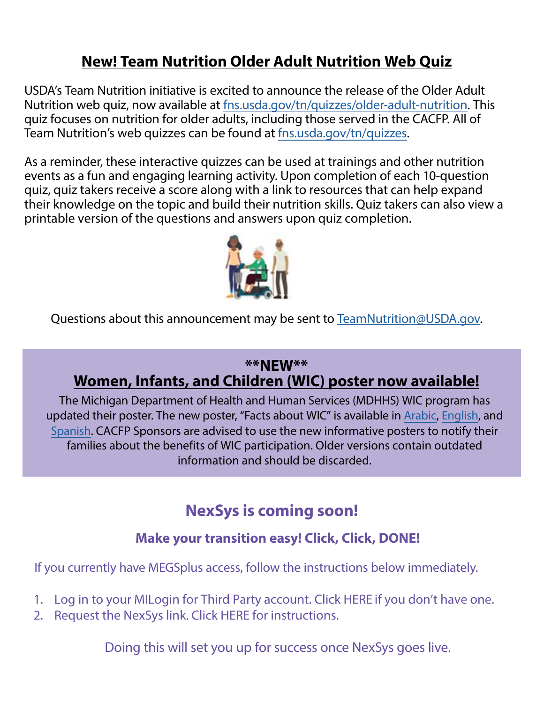# **New! Team Nutrition Older Adult Nutrition Web Quiz**

USDA's Team Nutrition initiative is excited to announce the release of the Older Adult Nutrition web quiz, now available at [fns.usda.gov/tn/quizzes/older-adult-nutrition](https://gcc02.safelinks.protection.outlook.com/?url=https%3A%2F%2Fwww.fns.usda.gov%2Ftn%2Fquizzes%2Folder-adult-nutrition&data=04%7C01%7CGalbaviT%40michigan.gov%7C16d354e1540849c083c708d9e5ac549d%7Cd5fb7087377742ad966a892ef47225d1%7C0%7C0%7C637793350573447108%7CUnknown%7CTWFpbGZsb3d8eyJWIjoiMC4wLjAwMDAiLCJQIjoiV2luMzIiLCJBTiI6Ik1haWwiLCJXVCI6Mn0%3D%7C3000&sdata=yxbACrnBN%2BaimI%2Fis92ieRalsoRzbS9kP2kt7aKc%2FYA%3D&reserved=0). This quiz focuses on nutrition for older adults, including those served in the CACFP. All of Team Nutrition's web quizzes can be found at [fns.usda.gov/tn/quizzes.](https://gcc02.safelinks.protection.outlook.com/?url=https%3A%2F%2Fwww.fns.usda.gov%2Ftn%2Fquizzes&data=04%7C01%7CGalbaviT%40michigan.gov%7C16d354e1540849c083c708d9e5ac549d%7Cd5fb7087377742ad966a892ef47225d1%7C0%7C0%7C637793350573447108%7CUnknown%7CTWFpbGZsb3d8eyJWIjoiMC4wLjAwMDAiLCJQIjoiV2luMzIiLCJBTiI6Ik1haWwiLCJXVCI6Mn0%3D%7C3000&sdata=UufgzpAi9TUKzObD%2BVo8bTKS6qA8ufUuN7Fpa4Vw6hc%3D&reserved=0)

As a reminder, these interactive quizzes can be used at trainings and other nutrition events as a fun and engaging learning activity. Upon completion of each 10-question quiz, quiz takers receive a score along with a link to resources that can help expand their knowledge on the topic and build their nutrition skills. Quiz takers can also view a printable version of the questions and answers upon quiz completion.



Questions about this announcement may be sent to [TeamNutrition@USDA.gov](mailto:TeamNutrition@USDA.gov).

## **\*\*NEW\*\* Women, Infants, and Children (WIC) poster now available!**

The Michigan Department of Health and Human Services (MDHHS) WIC program has updated their poster. The new poster, "Facts about WIC" is available in [Arabic](http://www.michigan.gov//documents/mdhhs/Facts_About_WIC_09_20_16_Arabic_539858_7.pdf), [English,](http://www.michigan.gov/documents/mdhhs/FactsAboutWIC_09_20_16_536532_7.pdf) and [Spanish](http://www.michigan.gov/documents/mdhhs/Facts_About_WIC__Spanish_2016_539857_7.pdf). CACFP Sponsors are advised to use the new informative posters to notify their families about the benefits of WIC participation. Older versions contain outdated information and should be discarded.

# **NexSys is coming soon!**

# **Make your transition easy! Click, Click, DONE!**

If you currently have MEGSplus access, follow the instructions below immediately.

- 1. Log in to your MILogin for Third Party account. Click [HERE](https://www.michigan.gov/documents/mde/Creating_MILogin_for_Third_Party_746324_7.pdf) if you don't have one.
- 2. Request the NexSys link. Click [HERE](https://www.michigan.gov/documents/mde/Requesting_NexSys_Link_in_MILogin_for_Third_Party_748927_7.pdf) for instructions.

Doing this will set you up for success once NexSys goes live.